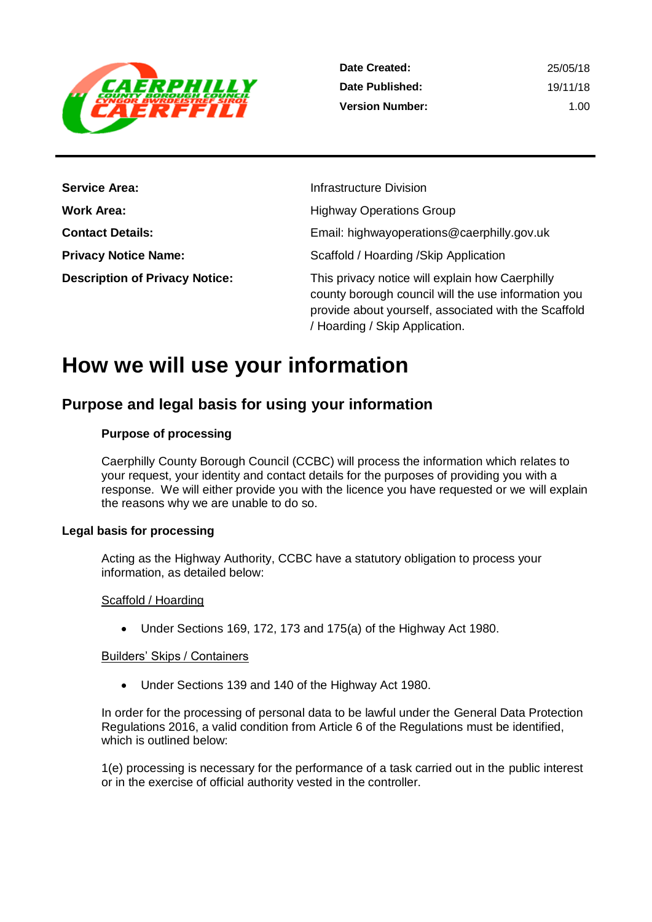

| <b>Service Area:</b>                  | Infrastructure Division                                                                                                                                                                          |
|---------------------------------------|--------------------------------------------------------------------------------------------------------------------------------------------------------------------------------------------------|
| <b>Work Area:</b>                     | <b>Highway Operations Group</b>                                                                                                                                                                  |
| <b>Contact Details:</b>               | Email: highwayoperations@caerphilly.gov.uk                                                                                                                                                       |
| <b>Privacy Notice Name:</b>           | Scaffold / Hoarding / Skip Application                                                                                                                                                           |
| <b>Description of Privacy Notice:</b> | This privacy notice will explain how Caerphilly<br>county borough council will the use information you<br>provide about yourself, associated with the Scaffold<br>/ Hoarding / Skip Application. |

# **How we will use your information**

## **Purpose and legal basis for using your information**

#### **Purpose of processing**

Caerphilly County Borough Council (CCBC) will process the information which relates to your request, your identity and contact details for the purposes of providing you with a response. We will either provide you with the licence you have requested or we will explain the reasons why we are unable to do so.

#### **Legal basis for processing**

Acting as the Highway Authority, CCBC have a statutory obligation to process your information, as detailed below:

#### Scaffold / Hoarding

Under Sections 169, 172, 173 and 175(a) of the Highway Act 1980.

#### Builders' Skips / Containers

Under Sections 139 and 140 of the Highway Act 1980.

In order for the processing of personal data to be lawful under the General Data Protection Regulations 2016, a valid condition from Article 6 of the Regulations must be identified, which is outlined below:

1(e) processing is necessary for the performance of a task carried out in the public interest or in the exercise of official authority vested in the controller.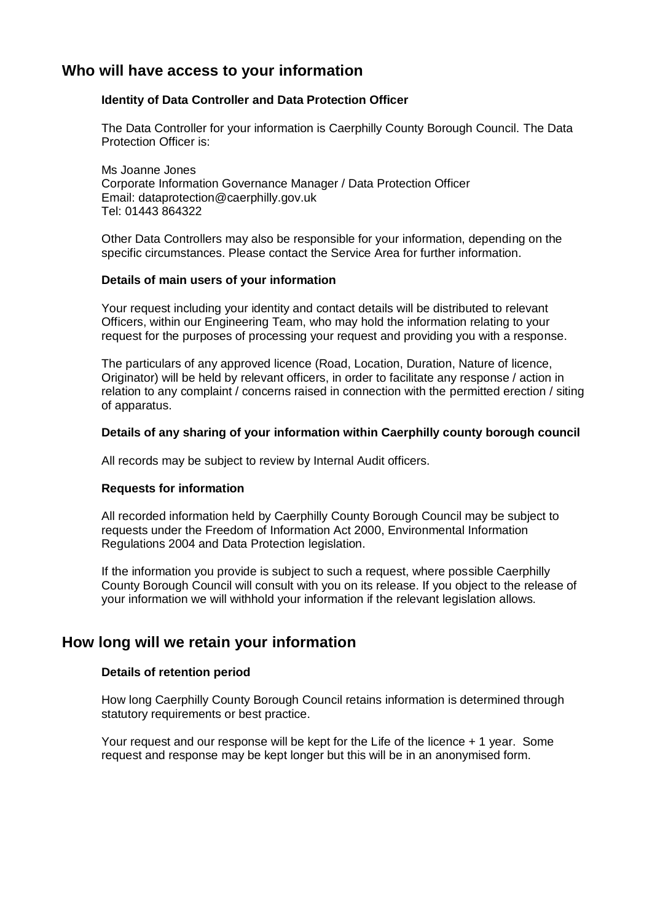### **Who will have access to your information**

#### **Identity of Data Controller and Data Protection Officer**

The Data Controller for your information is Caerphilly County Borough Council. The Data Protection Officer is:

Ms Joanne Jones Corporate Information Governance Manager / Data Protection Officer Email: dataprotection@caerphilly.gov.uk Tel: 01443 864322

Other Data Controllers may also be responsible for your information, depending on the specific circumstances. Please contact the Service Area for further information.

#### **Details of main users of your information**

Your request including your identity and contact details will be distributed to relevant Officers, within our Engineering Team, who may hold the information relating to your request for the purposes of processing your request and providing you with a response.

The particulars of any approved licence (Road, Location, Duration, Nature of licence, Originator) will be held by relevant officers, in order to facilitate any response / action in relation to any complaint / concerns raised in connection with the permitted erection / siting of apparatus.

#### **Details of any sharing of your information within Caerphilly county borough council**

All records may be subject to review by Internal Audit officers.

#### **Requests for information**

All recorded information held by Caerphilly County Borough Council may be subject to requests under the Freedom of Information Act 2000, Environmental Information Regulations 2004 and Data Protection legislation.

If the information you provide is subject to such a request, where possible Caerphilly County Borough Council will consult with you on its release. If you object to the release of your information we will withhold your information if the relevant legislation allows.

#### **How long will we retain your information**

#### **Details of retention period**

How long Caerphilly County Borough Council retains information is determined through statutory requirements or best practice.

Your request and our response will be kept for the Life of the licence + 1 year. Some request and response may be kept longer but this will be in an anonymised form.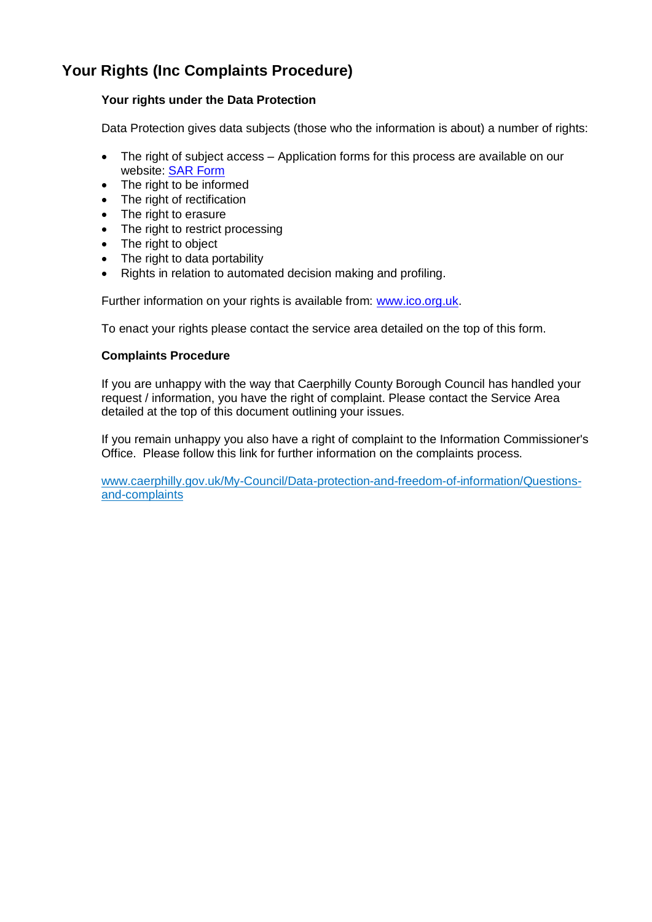## **Your Rights (Inc Complaints Procedure)**

#### **Your rights under the Data Protection**

Data Protection gives data subjects (those who the information is about) a number of rights:

- The right of subject access Application forms for this process are available on our website: [SAR Form](http://www.caerphilly.gov.uk/CaerphillyDocs/Council-and-democracy/sar_form.aspx)
- The right to be informed
- The right of rectification
- The right to erasure
- The right to restrict processing
- The right to object
- The right to data portability
- Rights in relation to automated decision making and profiling.

Further information on your rights is available from: [www.ico.org.uk.](http://www.ico.org.uk/)

To enact your rights please contact the service area detailed on the top of this form.

#### **Complaints Procedure**

If you are unhappy with the way that Caerphilly County Borough Council has handled your request / information, you have the right of complaint. Please contact the Service Area detailed at the top of this document outlining your issues.

If you remain unhappy you also have a right of complaint to the Information Commissioner's Office. Please follow this link for further information on the complaints process.

[www.caerphilly.gov.uk/My-Council/Data-protection-and-freedom-of-information/Questions](http://www.caerphilly.gov.uk/My-Council/Data-protection-and-freedom-of-information/Questions-and-complaints)[and-complaints](http://www.caerphilly.gov.uk/My-Council/Data-protection-and-freedom-of-information/Questions-and-complaints)